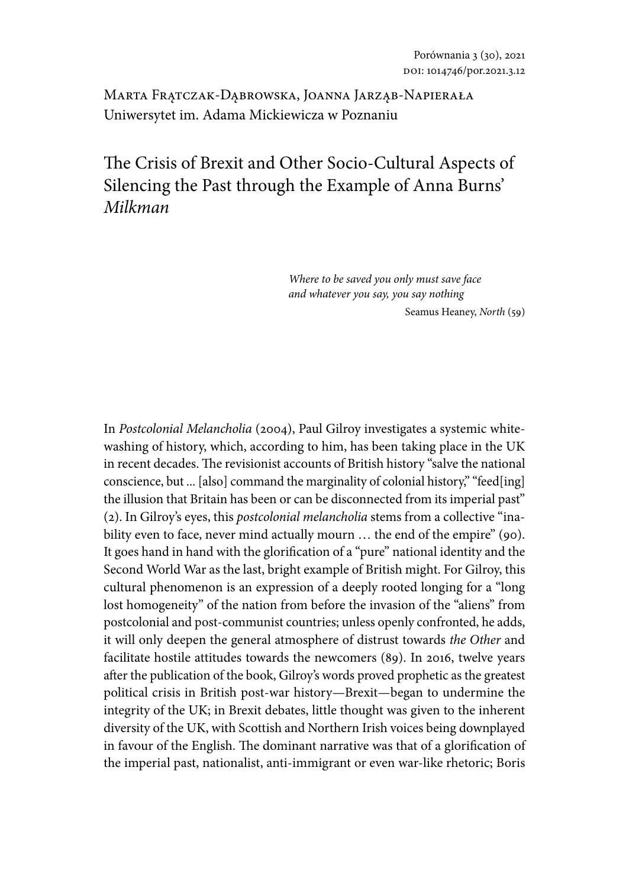Marta Frątczak-Dąbrowska, Joanna Jarząb-Napierała Uniwersytet im. Adama Mickiewicza w Poznaniu

# The Crisis of Brexit and Other Socio-Cultural Aspects of Silencing the Past through the Example of Anna Burns' *Milkman*

*Where to be saved you only must save face and whatever you say, you say nothing* Seamus Heaney, *North* (59)

In *Postcolonial Melancholia* (2004), Paul Gilroy investigates a systemic whitewashing of history, which, according to him, has been taking place in the UK in recent decades. The revisionist accounts of British history "salve the national conscience, but ... [also] command the marginality of colonial history," "feed[ing] the illusion that Britain has been or can be disconnected from its imperial past" (2). In Gilroy's eyes, this *postcolonial melancholia* stems from a collective "inability even to face, never mind actually mourn ... the end of the empire" (90). It goes hand in hand with the glorification of a "pure" national identity and the Second World War as the last, bright example of British might. For Gilroy, this cultural phenomenon is an expression of a deeply rooted longing for a "long lost homogeneity" of the nation from before the invasion of the "aliens" from postcolonial and post-communist countries; unless openly confronted, he adds, it will only deepen the general atmosphere of distrust towards *the Other* and facilitate hostile attitudes towards the newcomers (89). In 2016, twelve years after the publication of the book, Gilroy's words proved prophetic as the greatest political crisis in British post-war history—Brexit—began to undermine the integrity of the UK; in Brexit debates, little thought was given to the inherent diversity of the UK, with Scottish and Northern Irish voices being downplayed in favour of the English. The dominant narrative was that of a glorification of the imperial past, nationalist, anti-immigrant or even war-like rhetoric; Boris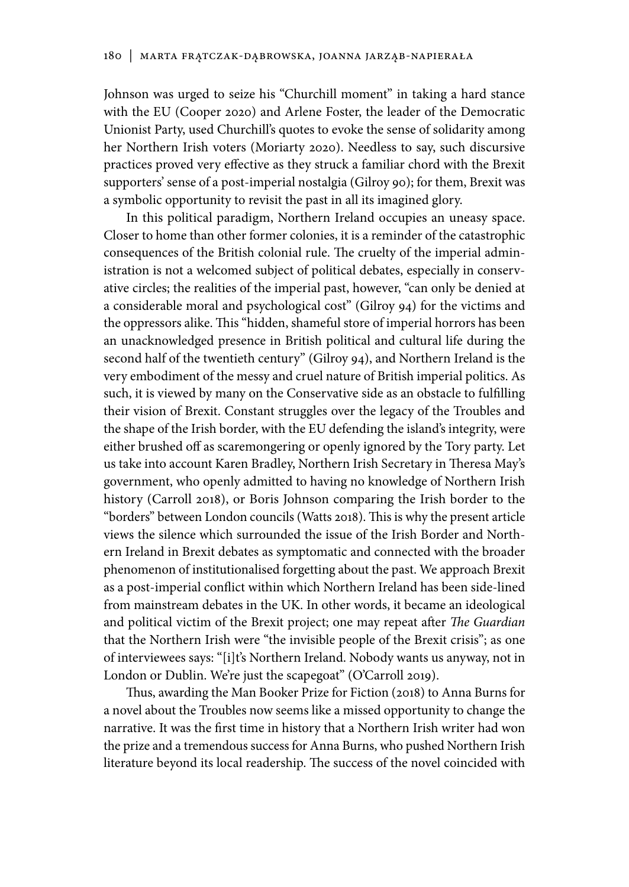Johnson was urged to seize his "Churchill moment" in taking a hard stance with the EU (Cooper 2020) and Arlene Foster, the leader of the Democratic Unionist Party, used Churchill's quotes to evoke the sense of solidarity among her Northern Irish voters (Moriarty 2020). Needless to say, such discursive practices proved very effective as they struck a familiar chord with the Brexit supporters' sense of a post-imperial nostalgia (Gilroy 90); for them, Brexit was a symbolic opportunity to revisit the past in all its imagined glory.

In this political paradigm, Northern Ireland occupies an uneasy space. Closer to home than other former colonies, it is a reminder of the catastrophic consequences of the British colonial rule. The cruelty of the imperial administration is not a welcomed subject of political debates, especially in conservative circles; the realities of the imperial past, however, "can only be denied at a considerable moral and psychological cost" (Gilroy 94) for the victims and the oppressors alike. This "hidden, shameful store of imperial horrors has been an unacknowledged presence in British political and cultural life during the second half of the twentieth century" (Gilroy 94), and Northern Ireland is the very embodiment of the messy and cruel nature of British imperial politics. As such, it is viewed by many on the Conservative side as an obstacle to fulfilling their vision of Brexit. Constant struggles over the legacy of the Troubles and the shape of the Irish border, with the EU defending the island's integrity, were either brushed off as scaremongering or openly ignored by the Tory party. Let us take into account Karen Bradley, Northern Irish Secretary in Theresa May's government, who openly admitted to having no knowledge of Northern Irish history (Carroll 2018), or Boris Johnson comparing the Irish border to the "borders" between London councils (Watts 2018). This is why the present article views the silence which surrounded the issue of the Irish Border and Northern Ireland in Brexit debates as symptomatic and connected with the broader phenomenon of institutionalised forgetting about the past. We approach Brexit as a post-imperial conflict within which Northern Ireland has been side-lined from mainstream debates in the UK. In other words, it became an ideological and political victim of the Brexit project; one may repeat after *The Guardian* that the Northern Irish were "the invisible people of the Brexit crisis"; as one of interviewees says: "[i]t's Northern Ireland. Nobody wants us anyway, not in London or Dublin. We're just the scapegoat" (O'Carroll 2019).

Thus, awarding the Man Booker Prize for Fiction (2018) to Anna Burns for a novel about the Troubles now seems like a missed opportunity to change the narrative. It was the first time in history that a Northern Irish writer had won the prize and a tremendous success for Anna Burns, who pushed Northern Irish literature beyond its local readership. The success of the novel coincided with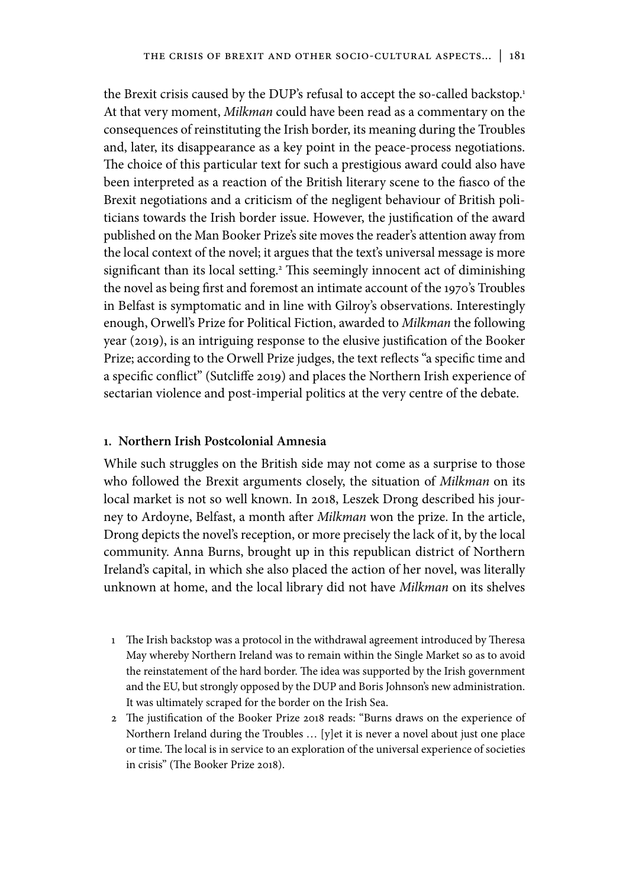the Brexit crisis caused by the DUP's refusal to accept the so-called backstop.<sup>1</sup> At that very moment, *Milkman* could have been read as a commentary on the consequences of reinstituting the Irish border, its meaning during the Troubles and, later, its disappearance as a key point in the peace-process negotiations. The choice of this particular text for such a prestigious award could also have been interpreted as a reaction of the British literary scene to the fiasco of the Brexit negotiations and a criticism of the negligent behaviour of British politicians towards the Irish border issue. However, the justification of the award published on the Man Booker Prize's site moves the reader's attention away from the local context of the novel; it argues that the text's universal message is more significant than its local setting.2 This seemingly innocent act of diminishing the novel as being first and foremost an intimate account of the 1970's Troubles in Belfast is symptomatic and in line with Gilroy's observations. Interestingly enough, Orwell's Prize for Political Fiction, awarded to *Milkman* the following year (2019), is an intriguing response to the elusive justification of the Booker Prize; according to the Orwell Prize judges, the text reflects "a specific time and a specific conflict" (Sutcliffe 2019) and places the Northern Irish experience of sectarian violence and post-imperial politics at the very centre of the debate.

#### **1. Northern Irish Postcolonial Amnesia**

While such struggles on the British side may not come as a surprise to those who followed the Brexit arguments closely, the situation of *Milkman* on its local market is not so well known. In 2018, Leszek Drong described his journey to Ardoyne, Belfast, a month after *Milkman* won the prize. In the article, Drong depicts the novel's reception, or more precisely the lack of it, by the local community. Anna Burns, brought up in this republican district of Northern Ireland's capital, in which she also placed the action of her novel, was literally unknown at home, and the local library did not have *Milkman* on its shelves

- 1 The Irish backstop was a protocol in the withdrawal agreement introduced by Theresa May whereby Northern Ireland was to remain within the Single Market so as to avoid the reinstatement of the hard border. The idea was supported by the Irish government and the EU, but strongly opposed by the DUP and Boris Johnson's new administration. It was ultimately scraped for the border on the Irish Sea.
- 2 The justification of the Booker Prize 2018 reads: "Burns draws on the experience of Northern Ireland during the Troubles … [y]et it is never a novel about just one place or time. The local is in service to an exploration of the universal experience of societies in crisis" (The Booker Prize 2018).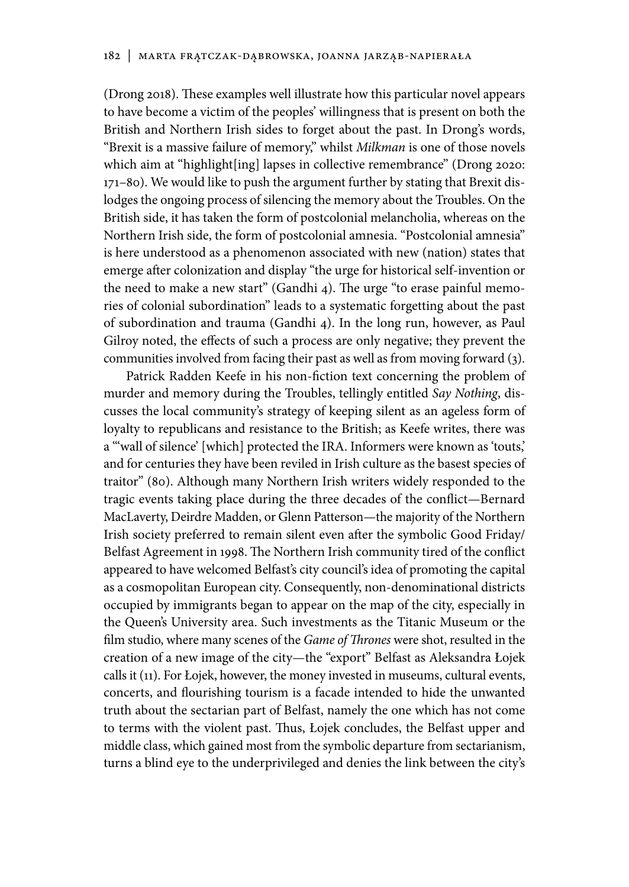(Drong 2018). These examples well illustrate how this particular novel appears to have become a victim of the peoples' willingness that is present on both the British and Northern Irish sides to forget about the past. In Drong's words, "Brexit is a massive failure of memory," whilst *Milkman* is one of those novels which aim at "highlight[ing] lapses in collective remembrance" (Drong 2020: 171–80). We would like to push the argument further by stating that Brexit dislodges the ongoing process of silencing the memory about the Troubles. On the British side, it has taken the form of postcolonial melancholia, whereas on the Northern Irish side, the form of postcolonial amnesia. "Postcolonial amnesia" is here understood as a phenomenon associated with new (nation) states that emerge after colonization and display "the urge for historical self-invention or the need to make a new start" (Gandhi 4). The urge "to erase painful memories of colonial subordination" leads to a systematic forgetting about the past of subordination and trauma (Gandhi 4). In the long run, however, as Paul Gilroy noted, the effects of such a process are only negative; they prevent the communities involved from facing their past as well as from moving forward (3).

Patrick Radden Keefe in his non-fiction text concerning the problem of murder and memory during the Troubles, tellingly entitled *Say Nothing*, discusses the local community's strategy of keeping silent as an ageless form of loyalty to republicans and resistance to the British; as Keefe writes, there was a "'wall of silence' [which] protected the IRA. Informers were known as 'touts,' and for centuries they have been reviled in Irish culture as the basest species of traitor" (80). Although many Northern Irish writers widely responded to the tragic events taking place during the three decades of the conflict—Bernard MacLaverty, Deirdre Madden, or Glenn Patterson—the majority of the Northern Irish society preferred to remain silent even after the symbolic Good Friday/ Belfast Agreement in 1998. The Northern Irish community tired of the conflict appeared to have welcomed Belfast's city council's idea of promoting the capital as a cosmopolitan European city. Consequently, non-denominational districts occupied by immigrants began to appear on the map of the city, especially in the Queen's University area. Such investments as the Titanic Museum or the film studio, where many scenes of the *Game of Thrones* were shot, resulted in the creation of a new image of the city—the "export" Belfast as Aleksandra Łojek calls it (11). For Łojek, however, the money invested in museums, cultural events, concerts, and flourishing tourism is a facade intended to hide the unwanted truth about the sectarian part of Belfast, namely the one which has not come to terms with the violent past. Thus, Łojek concludes, the Belfast upper and middle class, which gained most from the symbolic departure from sectarianism, turns a blind eye to the underprivileged and denies the link between the city's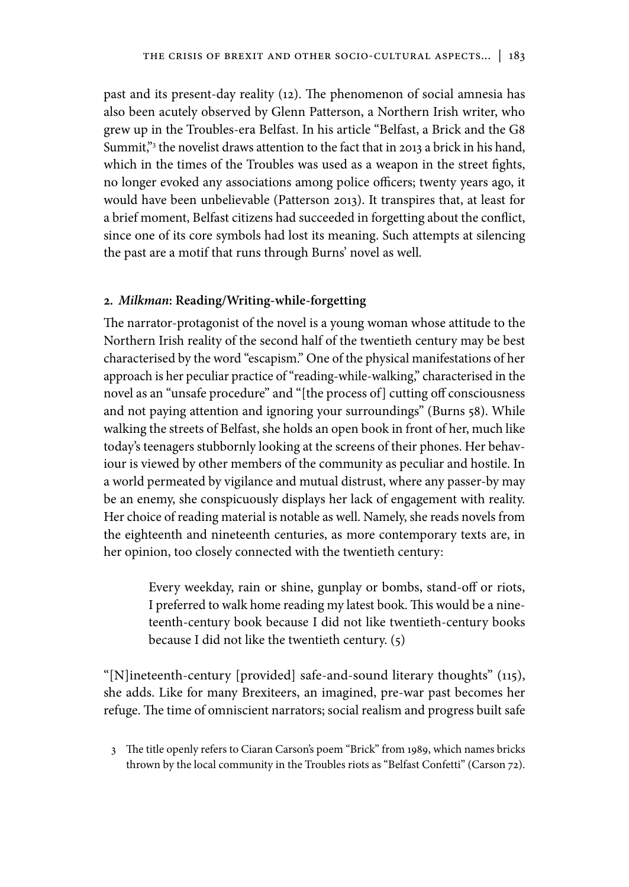past and its present-day reality (12). The phenomenon of social amnesia has also been acutely observed by Glenn Patterson, a Northern Irish writer, who grew up in the Troubles-era Belfast. In his article "Belfast, a Brick and the G8 Summit,"3 the novelist draws attention to the fact that in 2013 a brick in his hand, which in the times of the Troubles was used as a weapon in the street fights, no longer evoked any associations among police officers; twenty years ago, it would have been unbelievable (Patterson 2013). It transpires that, at least for a brief moment, Belfast citizens had succeeded in forgetting about the conflict, since one of its core symbols had lost its meaning. Such attempts at silencing the past are a motif that runs through Burns' novel as well.

#### **2.** *Milkman***: Reading/Writing-while-forgetting**

The narrator-protagonist of the novel is a young woman whose attitude to the Northern Irish reality of the second half of the twentieth century may be best characterised by the word "escapism." One of the physical manifestations of her approach is her peculiar practice of "reading-while-walking," characterised in the novel as an "unsafe procedure" and "[the process of] cutting off consciousness and not paying attention and ignoring your surroundings" (Burns 58). While walking the streets of Belfast, she holds an open book in front of her, much like today's teenagers stubbornly looking at the screens of their phones. Her behaviour is viewed by other members of the community as peculiar and hostile. In a world permeated by vigilance and mutual distrust, where any passer-by may be an enemy, she conspicuously displays her lack of engagement with reality. Her choice of reading material is notable as well. Namely, she reads novels from the eighteenth and nineteenth centuries, as more contemporary texts are, in her opinion, too closely connected with the twentieth century:

> Every weekday, rain or shine, gunplay or bombs, stand-off or riots, I preferred to walk home reading my latest book. This would be a nineteenth-century book because I did not like twentieth-century books because I did not like the twentieth century. (5)

"[N]ineteenth-century [provided] safe-and-sound literary thoughts" (115), she adds. Like for many Brexiteers, an imagined, pre-war past becomes her refuge. The time of omniscient narrators; social realism and progress built safe

3 The title openly refers to Ciaran Carson's poem "Brick" from 1989, which names bricks thrown by the local community in the Troubles riots as "Belfast Confetti" (Carson 72).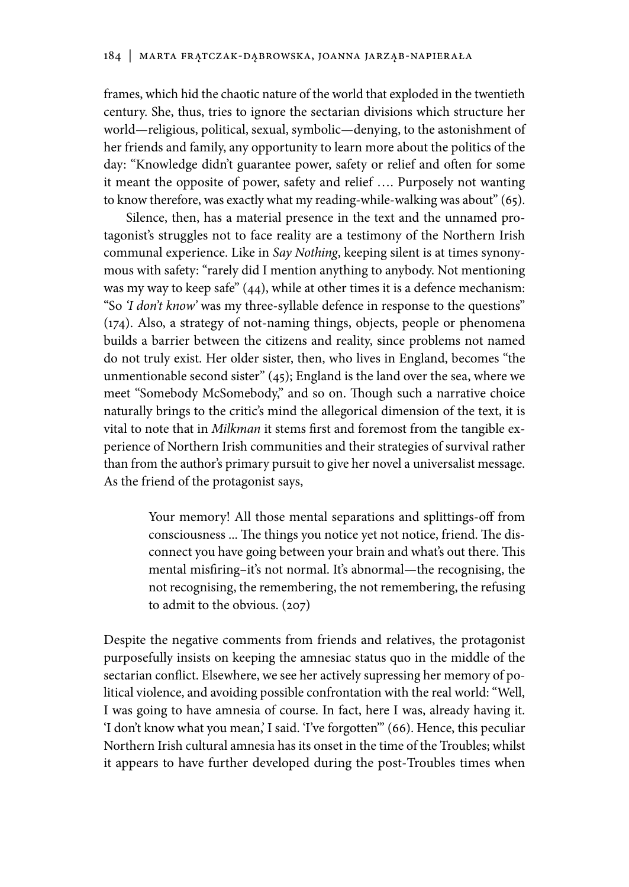frames, which hid the chaotic nature of the world that exploded in the twentieth century. She, thus, tries to ignore the sectarian divisions which structure her world—religious, political, sexual, symbolic—denying, to the astonishment of her friends and family, any opportunity to learn more about the politics of the day: "Knowledge didn't guarantee power, safety or relief and often for some it meant the opposite of power, safety and relief …. Purposely not wanting to know therefore, was exactly what my reading-while-walking was about" (65).

Silence, then, has a material presence in the text and the unnamed protagonist's struggles not to face reality are a testimony of the Northern Irish communal experience. Like in *Say Nothing*, keeping silent is at times synonymous with safety: "rarely did I mention anything to anybody. Not mentioning was my way to keep safe" (44), while at other times it is a defence mechanism: "So *'I don't know'* was my three-syllable defence in response to the questions" (174). Also, a strategy of not-naming things, objects, people or phenomena builds a barrier between the citizens and reality, since problems not named do not truly exist. Her older sister, then, who lives in England, becomes "the unmentionable second sister" (45); England is the land over the sea, where we meet "Somebody McSomebody," and so on. Though such a narrative choice naturally brings to the critic's mind the allegorical dimension of the text, it is vital to note that in *Milkman* it stems first and foremost from the tangible experience of Northern Irish communities and their strategies of survival rather than from the author's primary pursuit to give her novel a universalist message. As the friend of the protagonist says,

> Your memory! All those mental separations and splittings-off from consciousness ... The things you notice yet not notice, friend. The disconnect you have going between your brain and what's out there. This mental misfiring–it's not normal. It's abnormal—the recognising, the not recognising, the remembering, the not remembering, the refusing to admit to the obvious. (207)

Despite the negative comments from friends and relatives, the protagonist purposefully insists on keeping the amnesiac status quo in the middle of the sectarian conflict. Elsewhere, we see her actively supressing her memory of political violence, and avoiding possible confrontation with the real world: "Well, I was going to have amnesia of course. In fact, here I was, already having it. 'I don't know what you mean,' I said. 'I've forgotten'" (66). Hence, this peculiar Northern Irish cultural amnesia has its onset in the time of the Troubles; whilst it appears to have further developed during the post-Troubles times when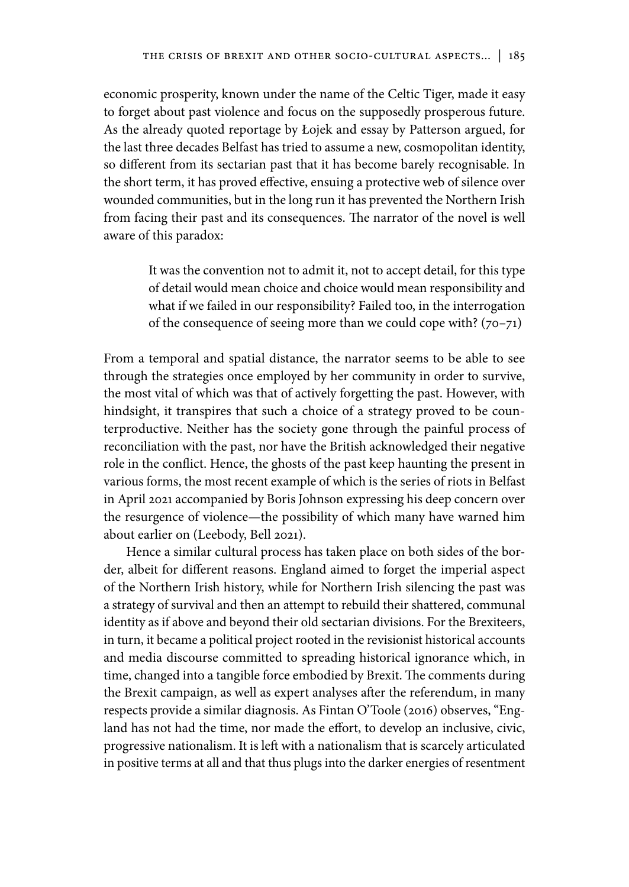economic prosperity, known under the name of the Celtic Tiger, made it easy to forget about past violence and focus on the supposedly prosperous future. As the already quoted reportage by Łojek and essay by Patterson argued, for the last three decades Belfast has tried to assume a new, cosmopolitan identity, so different from its sectarian past that it has become barely recognisable. In the short term, it has proved effective, ensuing a protective web of silence over wounded communities, but in the long run it has prevented the Northern Irish from facing their past and its consequences. The narrator of the novel is well aware of this paradox:

> It was the convention not to admit it, not to accept detail, for this type of detail would mean choice and choice would mean responsibility and what if we failed in our responsibility? Failed too, in the interrogation of the consequence of seeing more than we could cope with?  $(70-71)$

From a temporal and spatial distance, the narrator seems to be able to see through the strategies once employed by her community in order to survive, the most vital of which was that of actively forgetting the past. However, with hindsight, it transpires that such a choice of a strategy proved to be counterproductive. Neither has the society gone through the painful process of reconciliation with the past, nor have the British acknowledged their negative role in the conflict. Hence, the ghosts of the past keep haunting the present in various forms, the most recent example of which is the series of riots in Belfast in April 2021 accompanied by Boris Johnson expressing his deep concern over the resurgence of violence—the possibility of which many have warned him about earlier on (Leebody, Bell 2021).

Hence a similar cultural process has taken place on both sides of the border, albeit for different reasons. England aimed to forget the imperial aspect of the Northern Irish history, while for Northern Irish silencing the past was a strategy of survival and then an attempt to rebuild their shattered, communal identity as if above and beyond their old sectarian divisions. For the Brexiteers, in turn, it became a political project rooted in the revisionist historical accounts and media discourse committed to spreading historical ignorance which, in time, changed into a tangible force embodied by Brexit. The comments during the Brexit campaign, as well as expert analyses after the referendum, in many respects provide a similar diagnosis. As Fintan O'Toole (2016) observes, "England has not had the time, nor made the effort, to develop an inclusive, civic, progressive nationalism. It is left with a nationalism that is scarcely articulated in positive terms at all and that thus plugs into the darker energies of resentment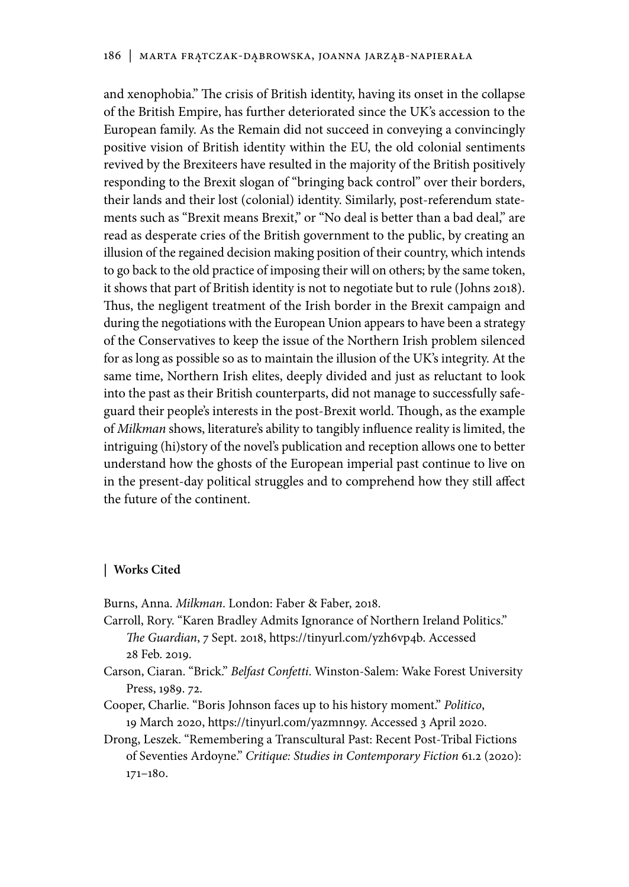and xenophobia." The crisis of British identity, having its onset in the collapse of the British Empire, has further deteriorated since the UK's accession to the European family. As the Remain did not succeed in conveying a convincingly positive vision of British identity within the EU, the old colonial sentiments revived by the Brexiteers have resulted in the majority of the British positively responding to the Brexit slogan of "bringing back control" over their borders, their lands and their lost (colonial) identity. Similarly, post-referendum statements such as "Brexit means Brexit," or "No deal is better than a bad deal," are read as desperate cries of the British government to the public, by creating an illusion of the regained decision making position of their country, which intends to go back to the old practice of imposing their will on others; by the same token, it shows that part of British identity is not to negotiate but to rule (Johns 2018). Thus, the negligent treatment of the Irish border in the Brexit campaign and during the negotiations with the European Union appears to have been a strategy of the Conservatives to keep the issue of the Northern Irish problem silenced for as long as possible so as to maintain the illusion of the UK's integrity. At the same time, Northern Irish elites, deeply divided and just as reluctant to look into the past as their British counterparts, did not manage to successfully safeguard their people's interests in the post-Brexit world. Though, as the example of *Milkman* shows, literature's ability to tangibly influence reality is limited, the intriguing (hi)story of the novel's publication and reception allows one to better understand how the ghosts of the European imperial past continue to live on in the present-day political struggles and to comprehend how they still affect the future of the continent.

#### **| Works Cited**

Burns, Anna. *Milkman*. London: Faber & Faber, 2018.

- Carroll, Rory. "Karen Bradley Admits Ignorance of Northern Ireland Politics." *The Guardian*, 7 Sept. 2018, https://tinyurl.com/yzh6vp4b. Accessed 28 Feb. 2019.
- Carson, Ciaran. "Brick." *Belfast Confetti*. Winston-Salem: Wake Forest University Press, 1989. 72.
- Cooper, Charlie. "Boris Johnson faces up to his history moment." *Politico*, 19 March 2020, https://tinyurl.com/yazmnn9y. Accessed 3 April 2020.
- Drong, Leszek. "Remembering a Transcultural Past: Recent Post-Tribal Fictions of Seventies Ardoyne." *Critique: Studies in Contemporary Fiction* 61.2 (2020): 171–180.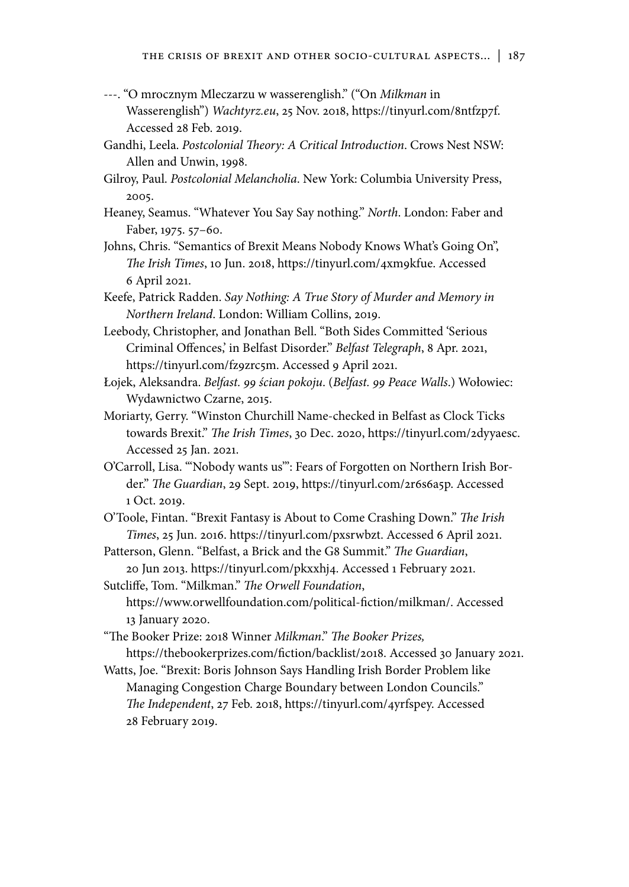- ---. "O mrocznym Mleczarzu w wasserenglish." ("On *Milkman* in Wasserenglish") *Wachtyrz.eu*, 25 Nov. 2018, https://tinyurl.com/8ntfzp7f. Accessed 28 Feb. 2019.
- Gandhi, Leela. *Postcolonial Theory: A Critical Introduction*. Crows Nest NSW: Allen and Unwin, 1998.
- Gilroy, Paul. *Postcolonial Melancholia*. New York: Columbia University Press, 2005.
- Heaney, Seamus. "Whatever You Say Say nothing." *North*. London: Faber and Faber, 1975. 57–60.
- Johns, Chris. "Semantics of Brexit Means Nobody Knows What's Going On", *The Irish Times*, 10 Jun. 2018, https://tinyurl.com/4xm9kfue. Accessed 6 April 2021.
- Keefe, Patrick Radden. *Say Nothing: A True Story of Murder and Memory in Northern Ireland*. London: William Collins, 2019.
- Leebody, Christopher, and Jonathan Bell. "Both Sides Committed 'Serious Criminal Offences,' in Belfast Disorder." *Belfast Telegraph*, 8 Apr. 2021, https://tinyurl.com/fz9zrc5m. Accessed 9 April 2021.
- Łojek, Aleksandra. *Belfast. 99 ścian pokoju*. (*Belfast. 99 Peace Walls*.) Wołowiec: Wydawnictwo Czarne, 2015.
- Moriarty, Gerry. "Winston Churchill Name-checked in Belfast as Clock Ticks towards Brexit." *The Irish Times*, 30 Dec. 2020, https://tinyurl.com/2dyyaesc. Accessed 25 Jan. 2021.
- O'Carroll, Lisa. "'Nobody wants us'": Fears of Forgotten on Northern Irish Border." *The Guardian*, 29 Sept. 2019, https://tinyurl.com/2r6s6a5p. Accessed 1 Oct. 2019.
- O'Toole, Fintan. "Brexit Fantasy is About to Come Crashing Down." *The Irish Times*, 25 Jun. 2016. https://tinyurl.com/pxsrwbzt. Accessed 6 April 2021.
- Patterson, Glenn. "Belfast, a Brick and the G8 Summit." *The Guardian*, 20 Jun 2013. https://tinyurl.com/pkxxhj4. Accessed 1 February 2021.
- Sutcliffe, Tom. "Milkman." *The Orwell Foundation*, https://www.orwellfoundation.com/political-fiction/milkman/. Accessed 13 January 2020.
- "The Booker Prize: 2018 Winner *Milkman*." *The Booker Prizes,* https://thebookerprizes.com/fiction/backlist/2018. Accessed 30 January 2021.
- Watts, Joe. "Brexit: Boris Johnson Says Handling Irish Border Problem like Managing Congestion Charge Boundary between London Councils." *The Independent*, 27 Feb. 2018, https://tinyurl.com/4yrfspey. Accessed 28 February 2019.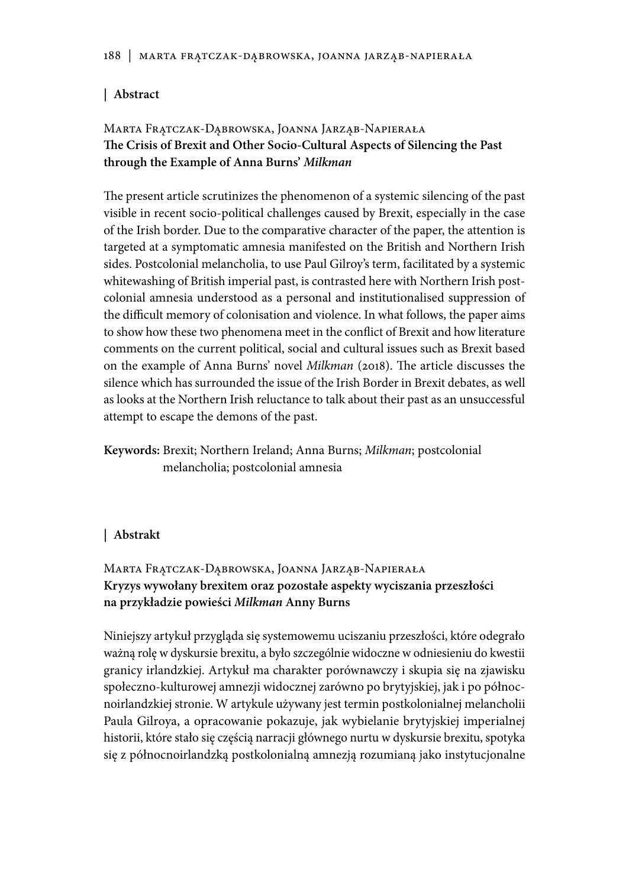## **| Abstract**

# Marta Frątczak-Dąbrowska, Joanna Jarząb-Napierała **The Crisis of Brexit and Other Socio-Cultural Aspects of Silencing the Past through the Example of Anna Burns'** *Milkman*

The present article scrutinizes the phenomenon of a systemic silencing of the past visible in recent socio-political challenges caused by Brexit, especially in the case of the Irish border. Due to the comparative character of the paper, the attention is targeted at a symptomatic amnesia manifested on the British and Northern Irish sides. Postcolonial melancholia, to use Paul Gilroy's term, facilitated by a systemic whitewashing of British imperial past, is contrasted here with Northern Irish postcolonial amnesia understood as a personal and institutionalised suppression of the difficult memory of colonisation and violence. In what follows, the paper aims to show how these two phenomena meet in the conflict of Brexit and how literature comments on the current political, social and cultural issues such as Brexit based on the example of Anna Burns' novel *Milkman* (2018). The article discusses the silence which has surrounded the issue of the Irish Border in Brexit debates, as well as looks at the Northern Irish reluctance to talk about their past as an unsuccessful attempt to escape the demons of the past.

**Keywords:** Brexit; Northern Ireland; Anna Burns; *Milkman*; postcolonial melancholia; postcolonial amnesia

## **| Abstrakt**

# Marta Frątczak-Dąbrowska, Joanna Jarząb-Napierała **Kryzys wywołany brexitem oraz pozostałe aspekty wyciszania przeszłości na przykładzie powieści** *Milkman* **Anny Burns**

Niniejszy artykuł przygląda się systemowemu uciszaniu przeszłości, które odegrało ważną rolę w dyskursie brexitu, a było szczególnie widoczne w odniesieniu do kwestii granicy irlandzkiej. Artykuł ma charakter porównawczy i skupia się na zjawisku społeczno-kulturowej amnezji widocznej zarówno po brytyjskiej, jak i po północnoirlandzkiej stronie. W artykule używany jest termin postkolonialnej melancholii Paula Gilroya, a opracowanie pokazuje, jak wybielanie brytyjskiej imperialnej historii, które stało się częścią narracji głównego nurtu w dyskursie brexitu, spotyka się z północnoirlandzką postkolonialną amnezją rozumianą jako instytucjonalne